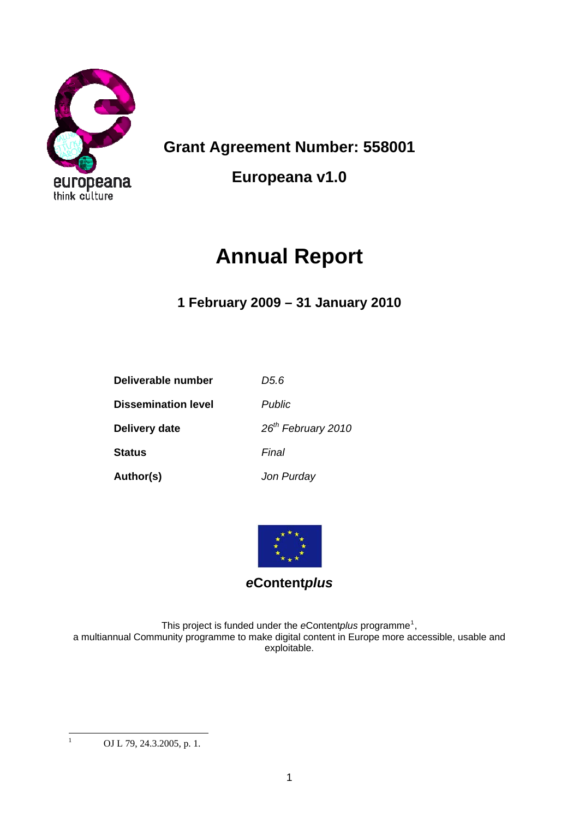

**Grant Agreement Number: 558001** 

**Europeana v1.0** 

# **Annual Report**

**1 February 2009 – 31 January 2010** 

| Deliverable number         | D5.6                           |
|----------------------------|--------------------------------|
| <b>Dissemination level</b> | <b>Public</b>                  |
| Delivery date              | 26 <sup>th</sup> February 2010 |
| <b>Status</b>              | Final                          |
| Author(s)                  | Jon Purday                     |



# *e***Content***plus*

This project is funded under the *e*Contentplus programme<sup>[1](#page-0-0)</sup>, a multiannual Community programme to make digital content in Europe more accessible, usable and exploitable.

<span id="page-0-0"></span> $\frac{1}{1}$ 

OJ L 79, 24.3.2005, p. 1.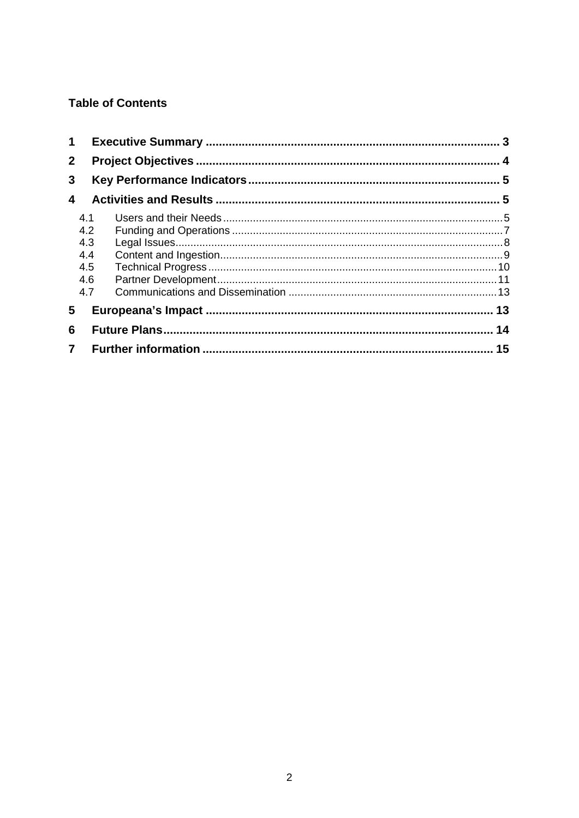### **Table of Contents**

| 4.1 |  |
|-----|--|
| 4.2 |  |
| 4.3 |  |
| 4.4 |  |
| 4.5 |  |
| 4.6 |  |
| 4.7 |  |
|     |  |
|     |  |
|     |  |
|     |  |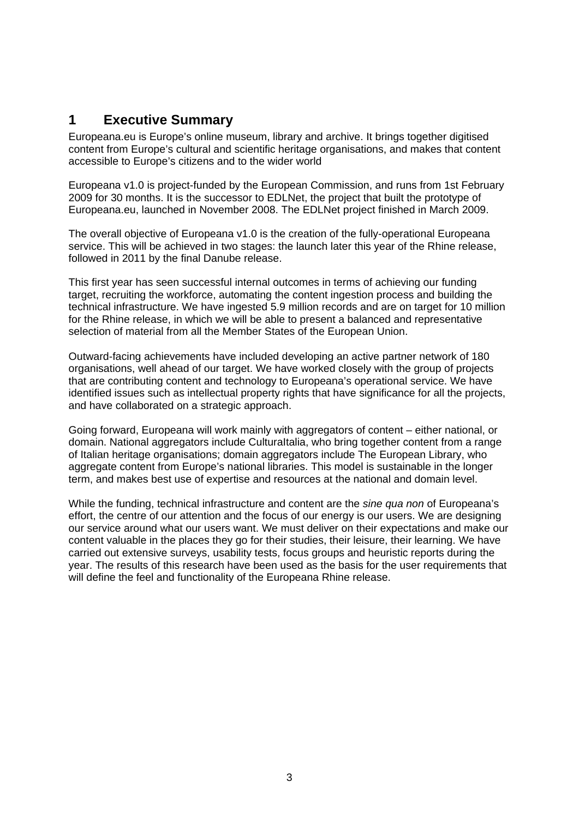# <span id="page-2-0"></span>**1 Executive Summary**

Europeana.eu is Europe's online museum, library and archive. It brings together digitised content from Europe's cultural and scientific heritage organisations, and makes that content accessible to Europe's citizens and to the wider world

Europeana v1.0 is project-funded by the European Commission, and runs from 1st February 2009 for 30 months. It is the successor to EDLNet, the project that built the prototype of Europeana.eu, launched in November 2008. The EDLNet project finished in March 2009.

The overall objective of Europeana v1.0 is the creation of the fully-operational Europeana service. This will be achieved in two stages: the launch later this year of the Rhine release, followed in 2011 by the final Danube release.

This first year has seen successful internal outcomes in terms of achieving our funding target, recruiting the workforce, automating the content ingestion process and building the technical infrastructure. We have ingested 5.9 million records and are on target for 10 million for the Rhine release, in which we will be able to present a balanced and representative selection of material from all the Member States of the European Union.

Outward-facing achievements have included developing an active partner network of 180 organisations, well ahead of our target. We have worked closely with the group of projects that are contributing content and technology to Europeana's operational service. We have identified issues such as intellectual property rights that have significance for all the projects, and have collaborated on a strategic approach.

Going forward, Europeana will work mainly with aggregators of content – either national, or domain. National aggregators include CulturaItalia, who bring together content from a range of Italian heritage organisations; domain aggregators include The European Library, who aggregate content from Europe's national libraries. This model is sustainable in the longer term, and makes best use of expertise and resources at the national and domain level.

While the funding, technical infrastructure and content are the *sine qua non* of Europeana's effort, the centre of our attention and the focus of our energy is our users. We are designing our service around what our users want. We must deliver on their expectations and make our content valuable in the places they go for their studies, their leisure, their learning. We have carried out extensive surveys, usability tests, focus groups and heuristic reports during the year. The results of this research have been used as the basis for the user requirements that will define the feel and functionality of the Europeana Rhine release.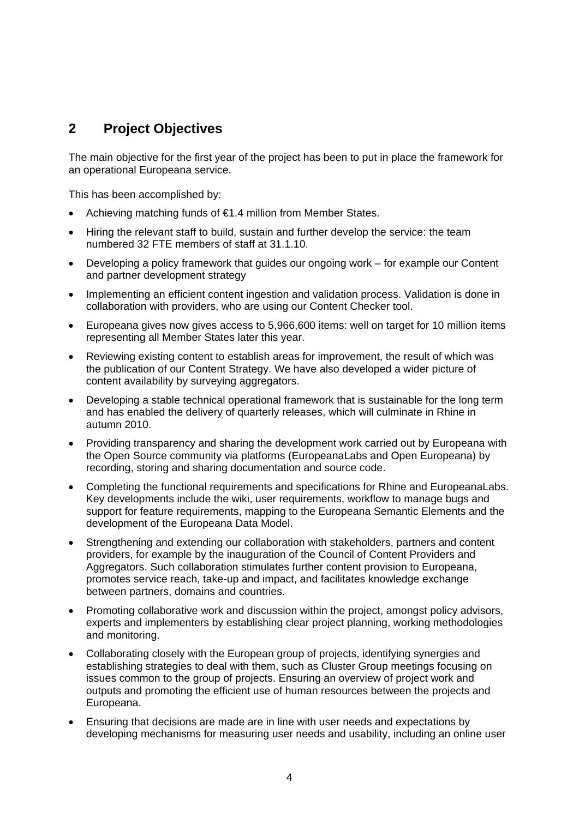## <span id="page-3-0"></span>**2 Project Objectives**

The main objective for the first year of the project has been to put in place the framework for an operational Europeana service.

This has been accomplished by:

- Achieving matching funds of €1.4 million from Member States.
- Hiring the relevant staff to build, sustain and further develop the service: the team numbered 32 FTE members of staff at 31.1.10.
- Developing a policy framework that guides our ongoing work for example our Content and partner development strategy
- Implementing an efficient content ingestion and validation process. Validation is done in collaboration with providers, who are using our Content Checker tool.
- Europeana gives now gives access to 5,966,600 items: well on target for 10 million items representing all Member States later this year.
- Reviewing existing content to establish areas for improvement, the result of which was the publication of our Content Strategy. We have also developed a wider picture of content availability by surveying aggregators.
- Developing a stable technical operational framework that is sustainable for the long term and has enabled the delivery of quarterly releases, which will culminate in Rhine in autumn 2010.
- Providing transparency and sharing the development work carried out by Europeana with the Open Source community via platforms (EuropeanaLabs and Open Europeana) by recording, storing and sharing documentation and source code.
- Completing the functional requirements and specifications for Rhine and EuropeanaLabs. Key developments include the wiki, user requirements, workflow to manage bugs and support for feature requirements, mapping to the Europeana Semantic Elements and the development of the Europeana Data Model.
- Strengthening and extending our collaboration with stakeholders, partners and content providers, for example by the inauguration of the Council of Content Providers and Aggregators. Such collaboration stimulates further content provision to Europeana, promotes service reach, take-up and impact, and facilitates knowledge exchange between partners, domains and countries.
- Promoting collaborative work and discussion within the project, amongst policy advisors, experts and implementers by establishing clear project planning, working methodologies and monitoring.
- Collaborating closely with the European group of projects, identifying synergies and establishing strategies to deal with them, such as Cluster Group meetings focusing on issues common to the group of projects. Ensuring an overview of project work and outputs and promoting the efficient use of human resources between the projects and Europeana.
- Ensuring that decisions are made are in line with user needs and expectations by developing mechanisms for measuring user needs and usability, including an online user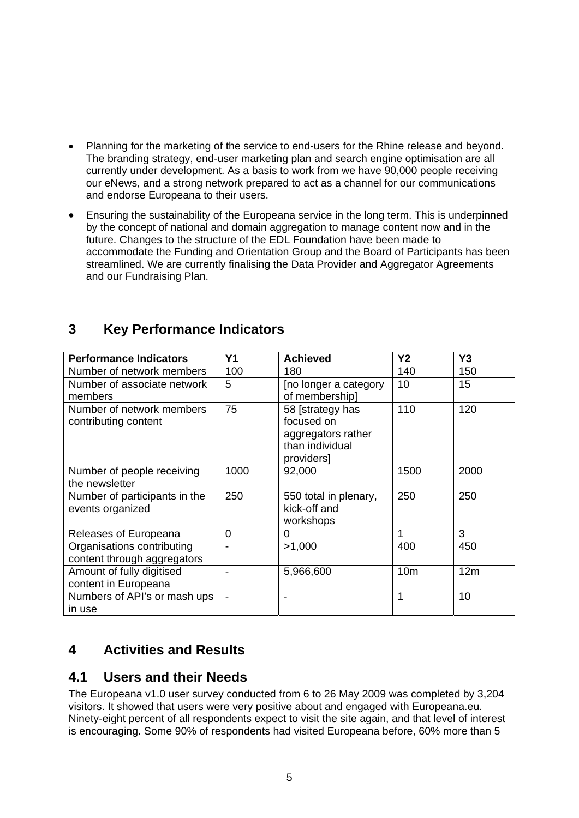- Planning for the marketing of the service to end-users for the Rhine release and beyond. The branding strategy, end-user marketing plan and search engine optimisation are all currently under development. As a basis to work from we have 90,000 people receiving our eNews, and a strong network prepared to act as a channel for our communications and endorse Europeana to their users.
- Ensuring the sustainability of the Europeana service in the long term. This is underpinned by the concept of national and domain aggregation to manage content now and in the future. Changes to the structure of the EDL Foundation have been made to accommodate the Funding and Orientation Group and the Board of Participants has been streamlined. We are currently finalising the Data Provider and Aggregator Agreements and our Fundraising Plan.

# <span id="page-4-0"></span>**3 Key Performance Indicators**

| <b>Performance Indicators</b>                             | <b>Y1</b> | <b>Achieved</b>                                                                       | <b>Y2</b>       | Y <sub>3</sub> |
|-----------------------------------------------------------|-----------|---------------------------------------------------------------------------------------|-----------------|----------------|
| Number of network members                                 | 100       | 180                                                                                   | 140             | 150            |
| Number of associate network<br>members                    | 5         | Ino longer a category<br>of membership]                                               | 10              | 15             |
| Number of network members<br>contributing content         | 75        | 58 [strategy has<br>focused on<br>aggregators rather<br>than individual<br>providers] | 110             | 120            |
| Number of people receiving<br>the newsletter              | 1000      | 92,000                                                                                | 1500            | 2000           |
| Number of participants in the<br>events organized         | 250       | 550 total in plenary,<br>kick-off and<br>workshops                                    | 250             | 250            |
| Releases of Europeana                                     | 0         | 0                                                                                     |                 | 3              |
| Organisations contributing<br>content through aggregators | -         | >1,000                                                                                | 400             | 450            |
| Amount of fully digitised<br>content in Europeana         |           | 5,966,600                                                                             | 10 <sub>m</sub> | 12m            |
| Numbers of API's or mash ups<br>in use                    | -         |                                                                                       | 1               | 10             |

# <span id="page-4-1"></span>**4 Activities and Results**

# <span id="page-4-2"></span>**4.1 Users and their Needs**

The Europeana v1.0 user survey conducted from 6 to 26 May 2009 was completed by 3,204 visitors. It showed that users were very positive about and engaged with Europeana.eu. Ninety-eight percent of all respondents expect to visit the site again, and that level of interest is encouraging. Some 90% of respondents had visited Europeana before, 60% more than 5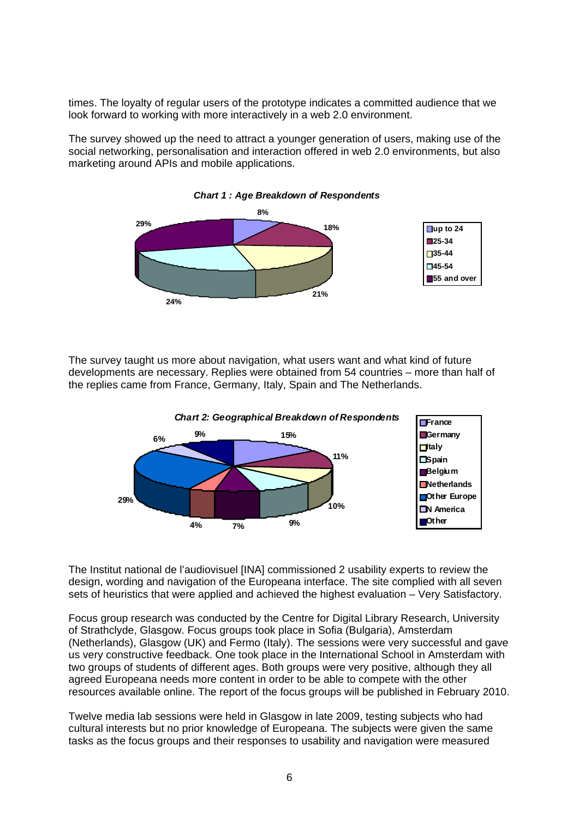times. The loyalty of regular users of the prototype indicates a committed audience that we look forward to working with more interactively in a web 2.0 environment.

The survey showed up the need to attract a younger generation of users, making use of the social networking, personalisation and interaction offered in web 2.0 environments, but also marketing around APIs and mobile applications.



The survey taught us more about navigation, what users want and what kind of future developments are necessary. Replies were obtained from 54 countries – more than half of the replies came from France, Germany, Italy, Spain and The Netherlands.



The Institut national de l'audiovisuel [INA] commissioned 2 usability experts to review the design, wording and navigation of the Europeana interface. The site complied with all seven sets of heuristics that were applied and achieved the highest evaluation – Very Satisfactory.

Focus group research was conducted by the Centre for Digital Library Research, University of Strathclyde, Glasgow. Focus groups took place in Sofia (Bulgaria), Amsterdam (Netherlands), Glasgow (UK) and Fermo (Italy). The sessions were very successful and gave us very constructive feedback. One took place in the International School in Amsterdam with two groups of students of different ages. Both groups were very positive, although they all agreed Europeana needs more content in order to be able to compete with the other resources available online. The report of the focus groups will be published in February 2010.

Twelve media lab sessions were held in Glasgow in late 2009, testing subjects who had cultural interests but no prior knowledge of Europeana. The subjects were given the same tasks as the focus groups and their responses to usability and navigation were measured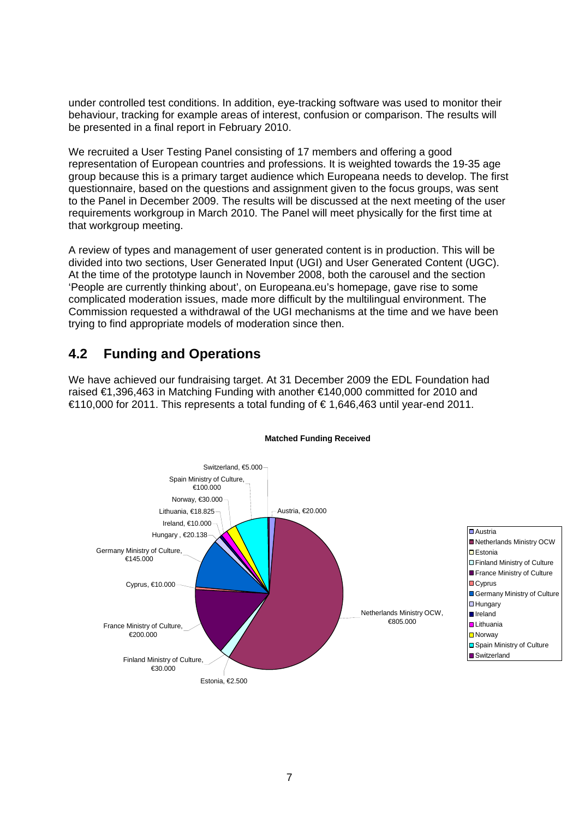under controlled test conditions. In addition, eye-tracking software was used to monitor their behaviour, tracking for example areas of interest, confusion or comparison. The results will be presented in a final report in February 2010.

We recruited a User Testing Panel consisting of 17 members and offering a good representation of European countries and professions. It is weighted towards the 19-35 age group because this is a primary target audience which Europeana needs to develop. The first questionnaire, based on the questions and assignment given to the focus groups, was sent to the Panel in December 2009. The results will be discussed at the next meeting of the user requirements workgroup in March 2010. The Panel will meet physically for the first time at that workgroup meeting.

A review of types and management of user generated content is in production. This will be divided into two sections, User Generated Input (UGI) and User Generated Content (UGC). At the time of the prototype launch in November 2008, both the carousel and the section 'People are currently thinking about', on Europeana.eu's homepage, gave rise to some complicated moderation issues, made more difficult by the multilingual environment. The Commission requested a withdrawal of the UGI mechanisms at the time and we have been trying to find appropriate models of moderation since then.

# <span id="page-6-0"></span>**4.2 Funding and Operations**

We have achieved our fundraising target. At 31 December 2009 the EDL Foundation had raised €1,396,463 in Matching Funding with another €140,000 committed for 2010 and €110,000 for 2011. This represents a total funding of € 1,646,463 until year-end 2011.



#### **Matched Funding Received**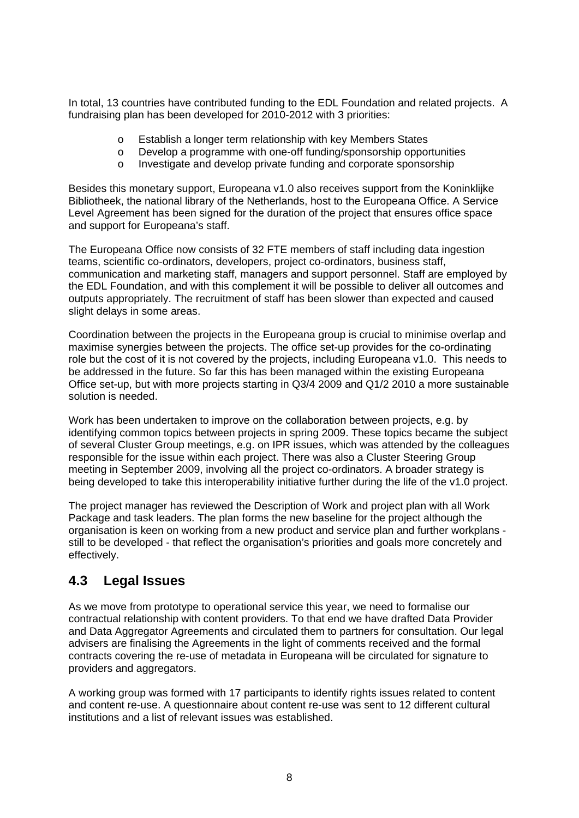In total, 13 countries have contributed funding to the EDL Foundation and related projects. A fundraising plan has been developed for 2010-2012 with 3 priorities:

- o Establish a longer term relationship with key Members States
- o Develop a programme with one-off funding/sponsorship opportunities
- o Investigate and develop private funding and corporate sponsorship

Besides this monetary support, Europeana v1.0 also receives support from the Koninklijke Bibliotheek, the national library of the Netherlands, host to the Europeana Office. A Service Level Agreement has been signed for the duration of the project that ensures office space and support for Europeana's staff.

The Europeana Office now consists of 32 FTE members of staff including data ingestion teams, scientific co-ordinators, developers, project co-ordinators, business staff, communication and marketing staff, managers and support personnel. Staff are employed by the EDL Foundation, and with this complement it will be possible to deliver all outcomes and outputs appropriately. The recruitment of staff has been slower than expected and caused slight delays in some areas.

Coordination between the projects in the Europeana group is crucial to minimise overlap and maximise synergies between the projects. The office set-up provides for the co-ordinating role but the cost of it is not covered by the projects, including Europeana v1.0. This needs to be addressed in the future. So far this has been managed within the existing Europeana Office set-up, but with more projects starting in Q3/4 2009 and Q1/2 2010 a more sustainable solution is needed.

Work has been undertaken to improve on the collaboration between projects, e.g. by identifying common topics between projects in spring 2009. These topics became the subject of several Cluster Group meetings, e.g. on IPR issues, which was attended by the colleagues responsible for the issue within each project. There was also a Cluster Steering Group meeting in September 2009, involving all the project co-ordinators. A broader strategy is being developed to take this interoperability initiative further during the life of the v1.0 project.

The project manager has reviewed the Description of Work and project plan with all Work Package and task leaders. The plan forms the new baseline for the project although the organisation is keen on working from a new product and service plan and further workplans still to be developed - that reflect the organisation's priorities and goals more concretely and effectively.

### <span id="page-7-0"></span>**4.3 Legal Issues**

As we move from prototype to operational service this year, we need to formalise our contractual relationship with content providers. To that end we have drafted Data Provider and Data Aggregator Agreements and circulated them to partners for consultation. Our legal advisers are finalising the Agreements in the light of comments received and the formal contracts covering the re-use of metadata in Europeana will be circulated for signature to providers and aggregators.

A working group was formed with 17 participants to identify rights issues related to content and content re-use. A questionnaire about content re-use was sent to 12 different cultural institutions and a list of relevant issues was established.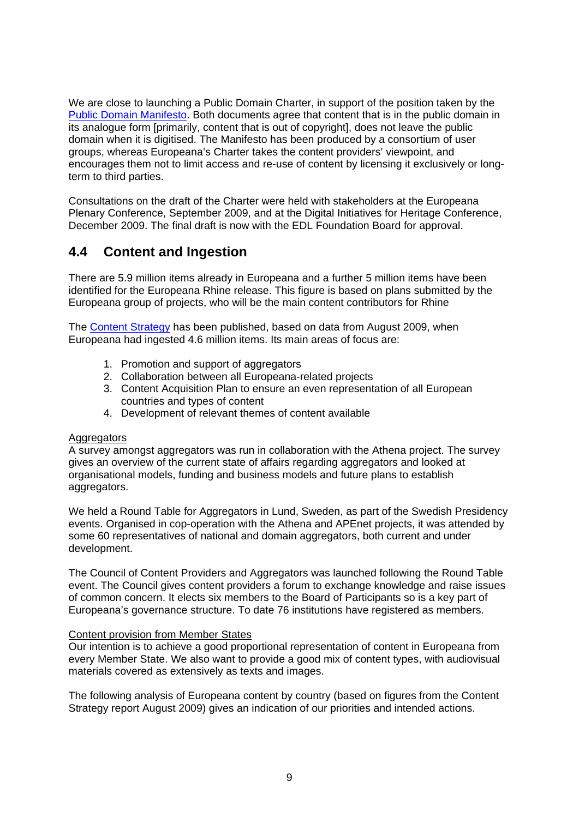We are close to launching a Public Domain Charter, in support of the position taken by the [Public Domain Manifesto](http://publicdomainmanifesto.org/node/8). Both documents agree that content that is in the public domain in its analogue form [primarily, content that is out of copyright], does not leave the public domain when it is digitised. The Manifesto has been produced by a consortium of user groups, whereas Europeana's Charter takes the content providers' viewpoint, and encourages them not to limit access and re-use of content by licensing it exclusively or longterm to third parties.

Consultations on the draft of the Charter were held with stakeholders at the Europeana Plenary Conference, September 2009, and at the Digital Initiatives for Heritage Conference, December 2009. The final draft is now with the EDL Foundation Board for approval.

# <span id="page-8-0"></span>**4.4 Content and Ingestion**

There are 5.9 million items already in Europeana and a further 5 million items have been identified for the Europeana Rhine release. This figure is based on plans submitted by the Europeana group of projects, who will be the main content contributors for Rhine

The [Content Strategy](http://group.europeana.eu/c/document_library/get_file?uuid=b7b24d45-116e-442f-8b85-fbf931ebee72&groupId=10602) has been published, based on data from August 2009, when Europeana had ingested 4.6 million items. Its main areas of focus are:

- 1. Promotion and support of aggregators
- 2. Collaboration between all Europeana-related projects
- 3. Content Acquisition Plan to ensure an even representation of all European countries and types of content
- 4. Development of relevant themes of content available

#### Aggregators

A survey amongst aggregators was run in collaboration with the Athena project. The survey gives an overview of the current state of affairs regarding aggregators and looked at organisational models, funding and business models and future plans to establish aggregators.

We held a Round Table for Aggregators in Lund, Sweden, as part of the Swedish Presidency events. Organised in cop-operation with the Athena and APEnet projects, it was attended by some 60 representatives of national and domain aggregators, both current and under development.

The Council of Content Providers and Aggregators was launched following the Round Table event. The Council gives content providers a forum to exchange knowledge and raise issues of common concern. It elects six members to the Board of Participants so is a key part of Europeana's governance structure. To date 76 institutions have registered as members.

#### Content provision from Member States

Our intention is to achieve a good proportional representation of content in Europeana from every Member State. We also want to provide a good mix of content types, with audiovisual materials covered as extensively as texts and images.

The following analysis of Europeana content by country (based on figures from the Content Strategy report August 2009) gives an indication of our priorities and intended actions.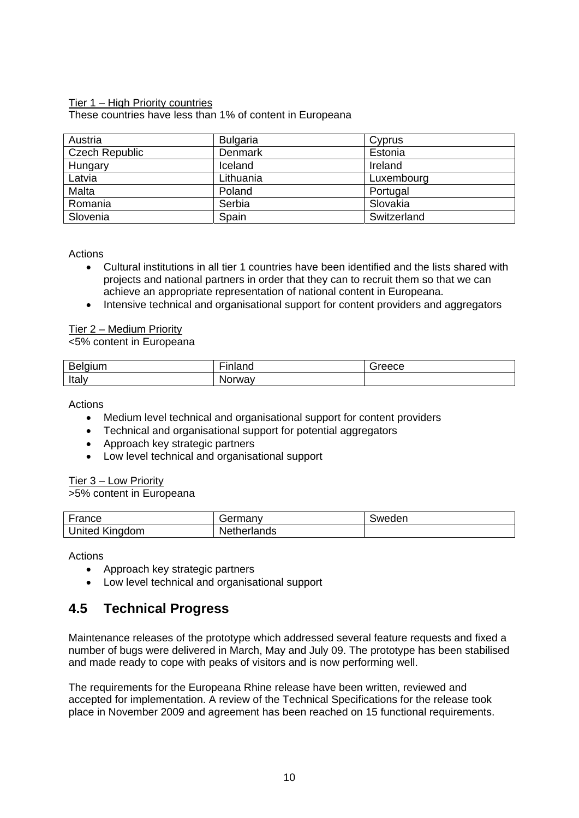#### Tier 1 – High Priority countries

These countries have less than 1% of content in Europeana

| Austria               | <b>Bulgaria</b> | Cyprus      |
|-----------------------|-----------------|-------------|
| <b>Czech Republic</b> | Denmark         | Estonia     |
| Hungary               | Iceland         | Ireland     |
| Latvia                | Lithuania       | Luxembourg  |
| Malta                 | Poland          | Portugal    |
| Romania               | Serbia          | Slovakia    |
| Slovenia              | Spain           | Switzerland |

Actions

- Cultural institutions in all tier 1 countries have been identified and the lists shared with projects and national partners in order that they can to recruit them so that we can achieve an appropriate representation of national content in Europeana.
- Intensive technical and organisational support for content providers and aggregators

Tier 2 – Medium Priority

<5% content in Europeana

| D<br>.<br>-<br>້ | --<br>$\sim$ | ື |
|------------------|--------------|---|
| Italy            | v            |   |

Actions

- Medium level technical and organisational support for content providers
- Technical and organisational support for potential aggregators
- Approach key strategic partners
- Low level technical and organisational support

Tier 3 – Low Priority

>5% content in Europeana

| $\overline{ }$                   | $\cdots$           | der               |
|----------------------------------|--------------------|-------------------|
| ™ce                              | −⊢                 | <i><b>SWA</b></i> |
| مصحل<br>.<br>יי<br>-<br>-<br>ιeα | .<br>$\sim$<br>שוי |                   |

Actions

- Approach key strategic partners
- Low level technical and organisational support

# <span id="page-9-0"></span>**4.5 Technical Progress**

Maintenance releases of the prototype which addressed several feature requests and fixed a number of bugs were delivered in March, May and July 09. The prototype has been stabilised and made ready to cope with peaks of visitors and is now performing well.

The requirements for the Europeana Rhine release have been written, reviewed and accepted for implementation. A review of the Technical Specifications for the release took place in November 2009 and agreement has been reached on 15 functional requirements.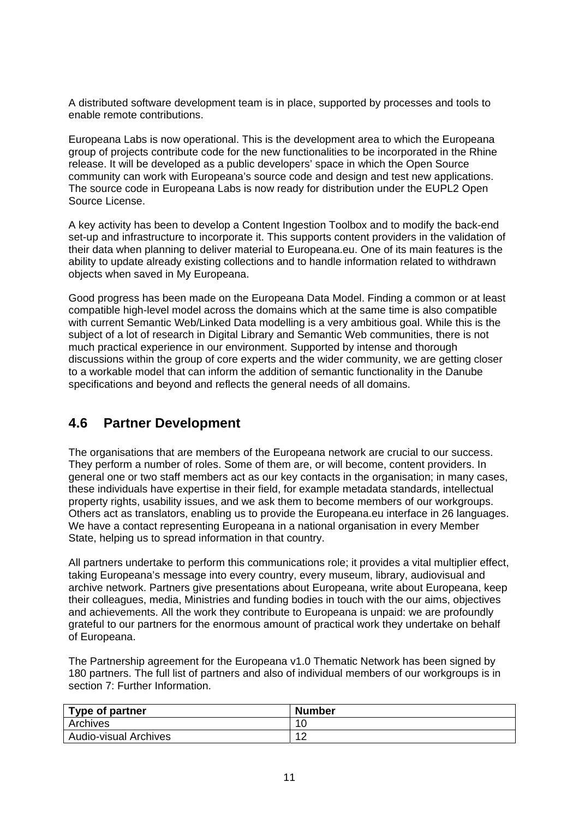A distributed software development team is in place, supported by processes and tools to enable remote contributions.

Europeana Labs is now operational. This is the development area to which the Europeana group of projects contribute code for the new functionalities to be incorporated in the Rhine release. It will be developed as a public developers' space in which the Open Source community can work with Europeana's source code and design and test new applications. The source code in Europeana Labs is now ready for distribution under the EUPL2 Open Source License.

A key activity has been to develop a Content Ingestion Toolbox and to modify the back-end set-up and infrastructure to incorporate it. This supports content providers in the validation of their data when planning to deliver material to Europeana.eu. One of its main features is the ability to update already existing collections and to handle information related to withdrawn objects when saved in My Europeana.

Good progress has been made on the Europeana Data Model. Finding a common or at least compatible high-level model across the domains which at the same time is also compatible with current Semantic Web/Linked Data modelling is a very ambitious goal. While this is the subject of a lot of research in Digital Library and Semantic Web communities, there is not much practical experience in our environment. Supported by intense and thorough discussions within the group of core experts and the wider community, we are getting closer to a workable model that can inform the addition of semantic functionality in the Danube specifications and beyond and reflects the general needs of all domains.

# <span id="page-10-0"></span>**4.6 Partner Development**

The organisations that are members of the Europeana network are crucial to our success. They perform a number of roles. Some of them are, or will become, content providers. In general one or two staff members act as our key contacts in the organisation; in many cases, these individuals have expertise in their field, for example metadata standards, intellectual property rights, usability issues, and we ask them to become members of our workgroups. Others act as translators, enabling us to provide the Europeana.eu interface in 26 languages. We have a contact representing Europeana in a national organisation in every Member State, helping us to spread information in that country.

All partners undertake to perform this communications role; it provides a vital multiplier effect, taking Europeana's message into every country, every museum, library, audiovisual and archive network. Partners give presentations about Europeana, write about Europeana, keep their colleagues, media, Ministries and funding bodies in touch with the our aims, objectives and achievements. All the work they contribute to Europeana is unpaid: we are profoundly grateful to our partners for the enormous amount of practical work they undertake on behalf of Europeana.

The Partnership agreement for the Europeana v1.0 Thematic Network has been signed by 180 partners. The full list of partners and also of individual members of our workgroups is in section 7: Further Information.

| Type of partner              | <b>Number</b> |
|------------------------------|---------------|
| Archives                     | 10            |
| <b>Audio-visual Archives</b> | 10<br>' 4     |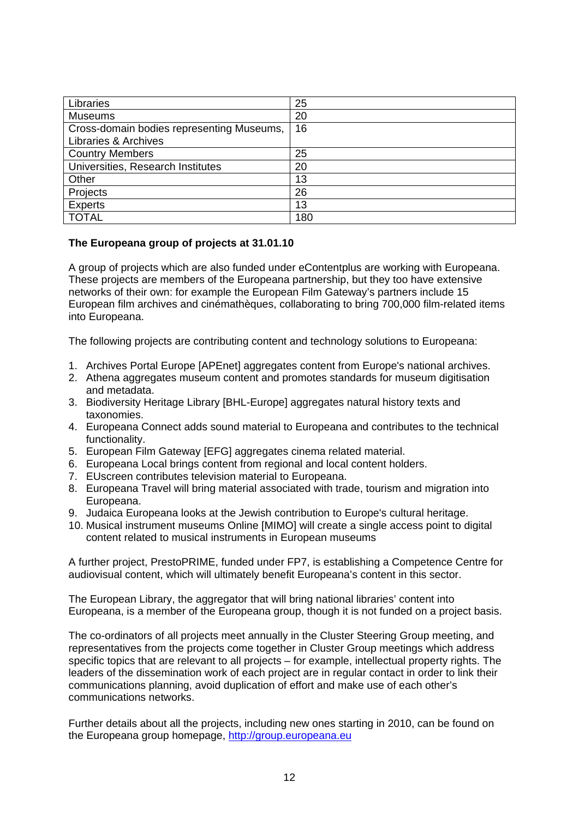| Libraries                                 | 25  |
|-------------------------------------------|-----|
| <b>Museums</b>                            | 20  |
| Cross-domain bodies representing Museums, | 16  |
| Libraries & Archives                      |     |
| <b>Country Members</b>                    | 25  |
| Universities, Research Institutes         | 20  |
| Other                                     | 13  |
| Projects                                  | 26  |
| <b>Experts</b>                            | 13  |
| <b>TOTAL</b>                              | 180 |

#### **The Europeana group of projects at 31.01.10**

A group of projects which are also funded under eContentplus are working with Europeana. These projects are members of the Europeana partnership, but they too have extensive networks of their own: for example the European Film Gateway's partners include 15 European film archives and cinémathèques, collaborating to bring 700,000 film-related items into Europeana.

The following projects are contributing content and technology solutions to Europeana:

- 1. Archives Portal Europe [APEnet] aggregates content from Europe's national archives.
- 2. Athena aggregates museum content and promotes standards for museum digitisation and metadata.
- 3. Biodiversity Heritage Library [BHL-Europe] aggregates natural history texts and taxonomies.
- 4. Europeana Connect adds sound material to Europeana and contributes to the technical functionality.
- 5. European Film Gateway [EFG] aggregates cinema related material.
- 6. Europeana Local brings content from regional and local content holders.
- 7. EUscreen contributes television material to Europeana.
- 8. Europeana Travel will bring material associated with trade, tourism and migration into Europeana.
- 9. Judaica Europeana looks at the Jewish contribution to Europe's cultural heritage.
- 10. Musical instrument museums Online [MIMO] will create a single access point to digital content related to musical instruments in European museums

A further project, PrestoPRIME, funded under FP7, is establishing a Competence Centre for audiovisual content, which will ultimately benefit Europeana's content in this sector.

The European Library, the aggregator that will bring national libraries' content into Europeana, is a member of the Europeana group, though it is not funded on a project basis.

The co-ordinators of all projects meet annually in the Cluster Steering Group meeting, and representatives from the projects come together in Cluster Group meetings which address specific topics that are relevant to all projects – for example, intellectual property rights. The leaders of the dissemination work of each project are in regular contact in order to link their communications planning, avoid duplication of effort and make use of each other's communications networks.

Further details about all the projects, including new ones starting in 2010, can be found on the Europeana group homepage, [http://group.europeana.eu](http://group.europeana.eu/)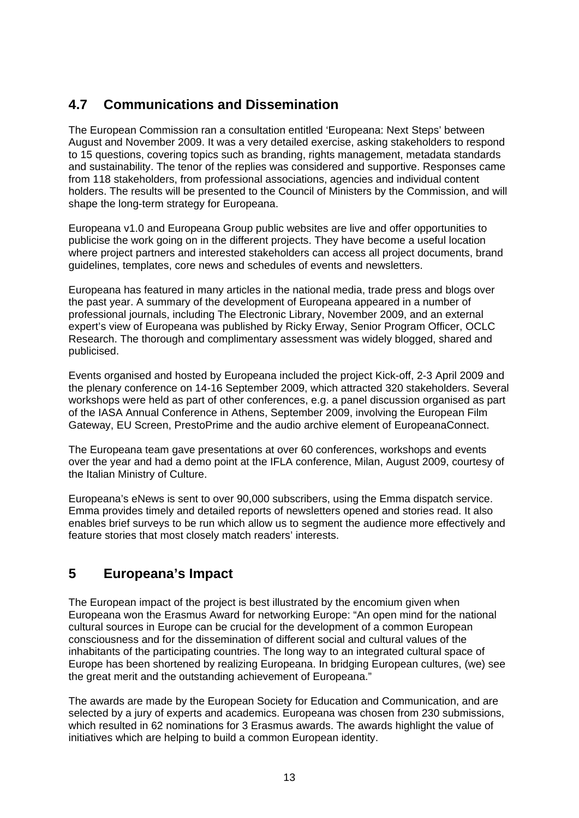# <span id="page-12-0"></span>**4.7 Communications and Dissemination**

The European Commission ran a consultation entitled 'Europeana: Next Steps' between August and November 2009. It was a very detailed exercise, asking stakeholders to respond to 15 questions, covering topics such as branding, rights management, metadata standards and sustainability. The tenor of the replies was considered and supportive. Responses came from 118 stakeholders, from professional associations, agencies and individual content holders. The results will be presented to the Council of Ministers by the Commission, and will shape the long-term strategy for Europeana.

Europeana v1.0 and Europeana Group public websites are live and offer opportunities to publicise the work going on in the different projects. They have become a useful location where project partners and interested stakeholders can access all project documents, brand guidelines, templates, core news and schedules of events and newsletters.

Europeana has featured in many articles in the national media, trade press and blogs over the past year. A summary of the development of Europeana appeared in a number of professional journals, including The Electronic Library, November 2009, and an external expert's view of Europeana was published by Ricky Erway, Senior Program Officer, OCLC Research. The thorough and complimentary assessment was widely blogged, shared and publicised.

Events organised and hosted by Europeana included the project Kick-off, 2-3 April 2009 and the plenary conference on 14-16 September 2009, which attracted 320 stakeholders. Several workshops were held as part of other conferences, e.g. a panel discussion organised as part of the IASA Annual Conference in Athens, September 2009, involving the European Film Gateway, EU Screen, PrestoPrime and the audio archive element of EuropeanaConnect.

The Europeana team gave presentations at over 60 conferences, workshops and events over the year and had a demo point at the IFLA conference, Milan, August 2009, courtesy of the Italian Ministry of Culture.

Europeana's eNews is sent to over 90,000 subscribers, using the Emma dispatch service. Emma provides timely and detailed reports of newsletters opened and stories read. It also enables brief surveys to be run which allow us to segment the audience more effectively and feature stories that most closely match readers' interests.

# <span id="page-12-1"></span>**5 Europeana's Impact**

The European impact of the project is best illustrated by the encomium given when Europeana won the Erasmus Award for networking Europe: "An open mind for the national cultural sources in Europe can be crucial for the development of a common European consciousness and for the dissemination of different social and cultural values of the inhabitants of the participating countries. The long way to an integrated cultural space of Europe has been shortened by realizing Europeana. In bridging European cultures, (we) see the great merit and the outstanding achievement of Europeana."

The awards are made by the European Society for Education and Communication, and are selected by a jury of experts and academics. Europeana was chosen from 230 submissions, which resulted in 62 nominations for 3 Erasmus awards. The awards highlight the value of initiatives which are helping to build a common European identity.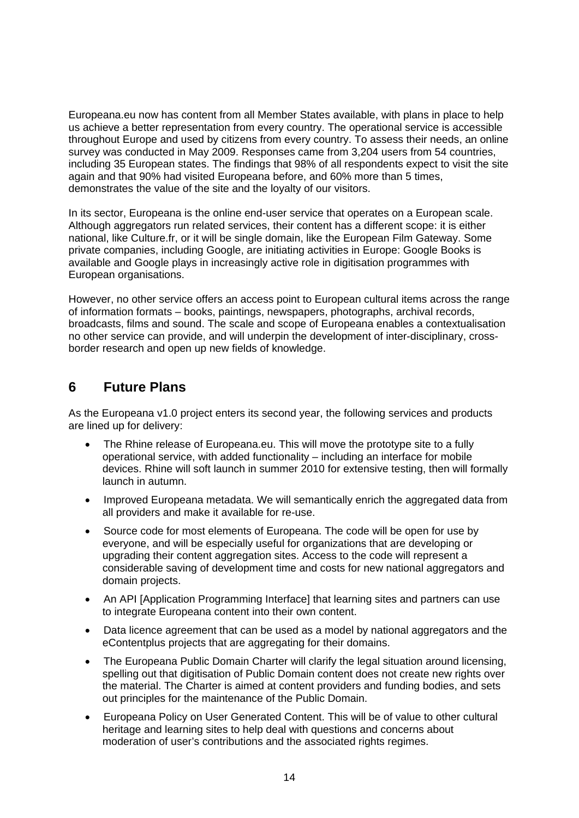Europeana.eu now has content from all Member States available, with plans in place to help us achieve a better representation from every country. The operational service is accessible throughout Europe and used by citizens from every country. To assess their needs, an online survey was conducted in May 2009. Responses came from 3,204 users from 54 countries, including 35 European states. The findings that 98% of all respondents expect to visit the site again and that 90% had visited Europeana before, and 60% more than 5 times, demonstrates the value of the site and the loyalty of our visitors.

In its sector, Europeana is the online end-user service that operates on a European scale. Although aggregators run related services, their content has a different scope: it is either national, like Culture.fr, or it will be single domain, like the European Film Gateway. Some private companies, including Google, are initiating activities in Europe: Google Books is available and Google plays in increasingly active role in digitisation programmes with European organisations.

However, no other service offers an access point to European cultural items across the range of information formats – books, paintings, newspapers, photographs, archival records, broadcasts, films and sound. The scale and scope of Europeana enables a contextualisation no other service can provide, and will underpin the development of inter-disciplinary, crossborder research and open up new fields of knowledge.

# <span id="page-13-0"></span>**6 Future Plans**

As the Europeana v1.0 project enters its second year, the following services and products are lined up for delivery:

- The Rhine release of Europeana.eu. This will move the prototype site to a fully operational service, with added functionality – including an interface for mobile devices. Rhine will soft launch in summer 2010 for extensive testing, then will formally launch in autumn.
- Improved Europeana metadata. We will semantically enrich the aggregated data from all providers and make it available for re-use.
- Source code for most elements of Europeana. The code will be open for use by everyone, and will be especially useful for organizations that are developing or upgrading their content aggregation sites. Access to the code will represent a considerable saving of development time and costs for new national aggregators and domain projects.
- An API [Application Programming Interface] that learning sites and partners can use to integrate Europeana content into their own content.
- Data licence agreement that can be used as a model by national aggregators and the eContentplus projects that are aggregating for their domains.
- The Europeana Public Domain Charter will clarify the legal situation around licensing, spelling out that digitisation of Public Domain content does not create new rights over the material. The Charter is aimed at content providers and funding bodies, and sets out principles for the maintenance of the Public Domain.
- Europeana Policy on User Generated Content. This will be of value to other cultural heritage and learning sites to help deal with questions and concerns about moderation of user's contributions and the associated rights regimes.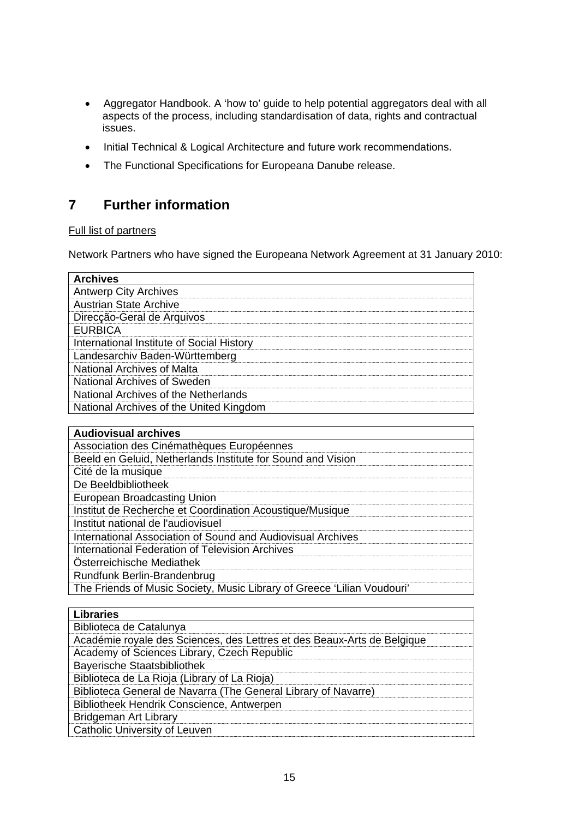- Aggregator Handbook. A 'how to' guide to help potential aggregators deal with all aspects of the process, including standardisation of data, rights and contractual issues.
- Initial Technical & Logical Architecture and future work recommendations.
- The Functional Specifications for Europeana Danube release.

# <span id="page-14-0"></span>**7 Further information**

#### Full list of partners

Network Partners who have signed the Europeana Network Agreement at 31 January 2010:

| <b>Archives</b>                                                         |
|-------------------------------------------------------------------------|
| <b>Antwerp City Archives</b>                                            |
| <b>Austrian State Archive</b>                                           |
| Direcção-Geral de Arquivos                                              |
| <b>EURBICA</b>                                                          |
| International Institute of Social History                               |
| Landesarchiv Baden-Württemberg                                          |
| <b>National Archives of Malta</b>                                       |
| National Archives of Sweden                                             |
| National Archives of the Netherlands                                    |
| National Archives of the United Kingdom                                 |
|                                                                         |
| <b>Audiovisual archives</b>                                             |
| Association des Cinémathèques Européennes                               |
| Beeld en Geluid, Netherlands Institute for Sound and Vision             |
| Cité de la musique                                                      |
| De Beeldbibliotheek                                                     |
| European Broadcasting Union                                             |
| Institut de Recherche et Coordination Acoustique/Musique                |
| Institut national de l'audiovisuel                                      |
| International Association of Sound and Audiovisual Archives             |
| <b>International Federation of Television Archives</b>                  |
| Österreichische Mediathek                                               |
| Rundfunk Berlin-Brandenbrug                                             |
| The Friends of Music Society, Music Library of Greece 'Lilian Voudouri' |
|                                                                         |

| <b>Libraries</b>                                                        |
|-------------------------------------------------------------------------|
| Biblioteca de Catalunya                                                 |
| Académie royale des Sciences, des Lettres et des Beaux-Arts de Belgique |
| Academy of Sciences Library, Czech Republic                             |
| <b>Bayerische Staatsbibliothek</b>                                      |
| Biblioteca de La Rioja (Library of La Rioja)                            |
| Biblioteca General de Navarra (The General Library of Navarre)          |
| Bibliotheek Hendrik Conscience, Antwerpen                               |
| Bridgeman Art Library                                                   |
| <b>Catholic University of Leuven</b>                                    |
|                                                                         |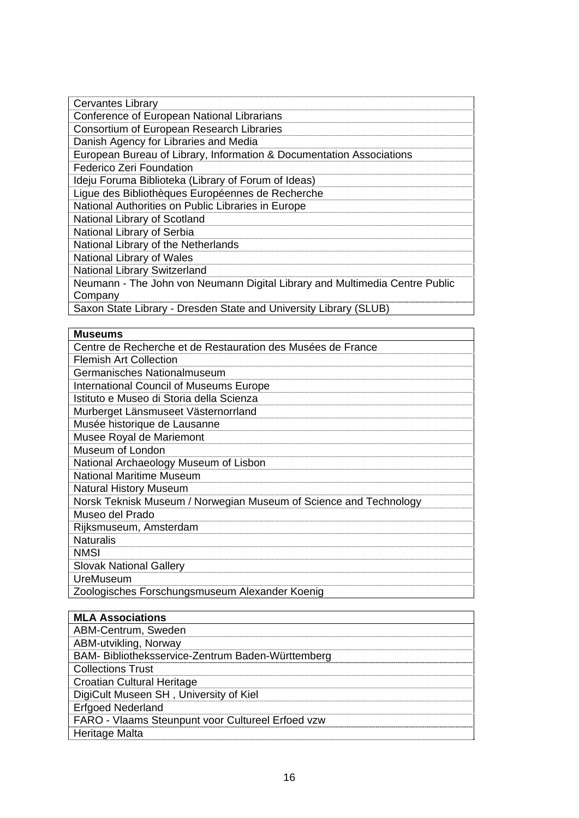| <b>Cervantes Library</b>                                                    |
|-----------------------------------------------------------------------------|
| Conference of European National Librarians                                  |
| <b>Consortium of European Research Libraries</b>                            |
| Danish Agency for Libraries and Media                                       |
| European Bureau of Library, Information & Documentation Associations        |
| <b>Federico Zeri Foundation</b>                                             |
| Ideju Foruma Biblioteka (Library of Forum of Ideas)                         |
| Ligue des Bibliothèques Européennes de Recherche                            |
| National Authorities on Public Libraries in Europe                          |
| National Library of Scotland                                                |
| National Library of Serbia                                                  |
| National Library of the Netherlands                                         |
| <b>National Library of Wales</b>                                            |
| <b>National Library Switzerland</b>                                         |
| Neumann - The John von Neumann Digital Library and Multimedia Centre Public |
| Company                                                                     |
| Saxon State Library - Dresden State and University Library (SLUB)           |

#### **Museums**

| <b>Museums</b>                                                    |
|-------------------------------------------------------------------|
| Centre de Recherche et de Restauration des Musées de France       |
| <b>Flemish Art Collection</b>                                     |
| Germanisches Nationalmuseum                                       |
| <b>International Council of Museums Europe</b>                    |
| Istituto e Museo di Storia della Scienza                          |
| Murberget Länsmuseet Västernorrland                               |
| Musée historique de Lausanne                                      |
| Musee Royal de Mariemont                                          |
| Museum of London                                                  |
| National Archaeology Museum of Lisbon                             |
| <b>National Maritime Museum</b>                                   |
| <b>Natural History Museum</b>                                     |
| Norsk Teknisk Museum / Norwegian Museum of Science and Technology |
| Museo del Prado                                                   |
| Rijksmuseum, Amsterdam                                            |
| <b>Naturalis</b>                                                  |
| <b>NMSI</b>                                                       |
| <b>Slovak National Gallery</b>                                    |
| <b>UreMuseum</b>                                                  |
| Zoologisches Forschungsmuseum Alexander Koenig                    |

| <b>MLA Associations</b>                           |
|---------------------------------------------------|
| ABM-Centrum, Sweden                               |
| ABM-utvikling, Norway                             |
| BAM- Bibliotheksservice-Zentrum Baden-Württemberg |
| <b>Collections Trust</b>                          |
| Croatian Cultural Heritage                        |
| DigiCult Museen SH, University of Kiel            |
| <b>Erfgoed Nederland</b>                          |
| FARO - Vlaams Steunpunt voor Cultureel Erfoed vzw |
| Heritage Malta                                    |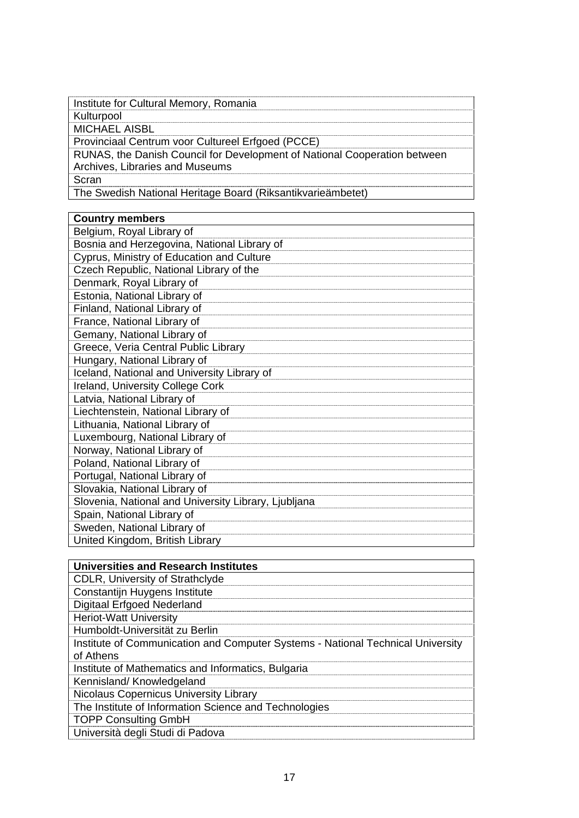| Institute for Cultural Memory, Romania                                                                       |
|--------------------------------------------------------------------------------------------------------------|
| Kulturpool                                                                                                   |
| <b>MICHAEL AISBL</b>                                                                                         |
| Provinciaal Centrum voor Cultureel Erfgoed (PCCE)                                                            |
| RUNAS, the Danish Council for Development of National Cooperation between<br>Archives, Libraries and Museums |
| Scran                                                                                                        |
| The Swedish National Heritage Board (Riksantikvarieämbetet)                                                  |

| <b>Country members</b>                               |
|------------------------------------------------------|
| Belgium, Royal Library of                            |
| Bosnia and Herzegovina, National Library of          |
| Cyprus, Ministry of Education and Culture            |
| Czech Republic, National Library of the              |
| Denmark, Royal Library of                            |
| Estonia, National Library of                         |
| Finland, National Library of                         |
| France, National Library of                          |
| Gemany, National Library of                          |
| Greece, Veria Central Public Library                 |
| Hungary, National Library of                         |
| Iceland, National and University Library of          |
| Ireland, University College Cork                     |
| Latvia, National Library of                          |
| Liechtenstein, National Library of                   |
| Lithuania, National Library of                       |
| Luxembourg, National Library of                      |
| Norway, National Library of                          |
| Poland, National Library of                          |
| Portugal, National Library of                        |
| Slovakia, National Library of                        |
| Slovenia, National and University Library, Ljubljana |
| Spain, National Library of                           |
| Sweden, National Library of                          |
| United Kingdom, British Library                      |

| <b>Universities and Research Institutes</b>                                                  |
|----------------------------------------------------------------------------------------------|
| <b>CDLR, University of Strathclyde</b>                                                       |
| Constantijn Huygens Institute                                                                |
| <b>Digitaal Erfgoed Nederland</b>                                                            |
| <b>Heriot-Watt University</b>                                                                |
| Humboldt-Universität zu Berlin                                                               |
| Institute of Communication and Computer Systems - National Technical University<br>of Athens |
| Institute of Mathematics and Informatics, Bulgaria                                           |
| Kennisland/Knowledgeland                                                                     |
| Nicolaus Copernicus University Library                                                       |
| The Institute of Information Science and Technologies                                        |
| <b>TOPP Consulting GmbH</b>                                                                  |
| Università degli Studi di Padova                                                             |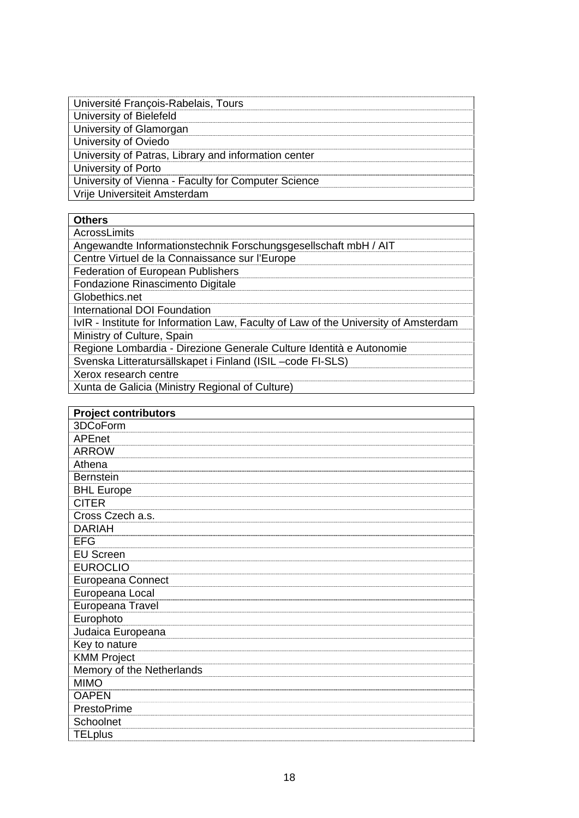| Université François-Rabelais, Tours                  |
|------------------------------------------------------|
|                                                      |
| University of Bielefeld                              |
| University of Glamorgan                              |
| University of Oviedo                                 |
| University of Patras, Library and information center |
| University of Porto                                  |
| University of Vienna - Faculty for Computer Science  |
| Vrije Universiteit Amsterdam                         |

### **Others**

| AcrossLimits                                                                        |
|-------------------------------------------------------------------------------------|
| Angewandte Informationstechnik Forschungsgesellschaft mbH / AIT                     |
| Centre Virtuel de la Connaissance sur l'Europe                                      |
| <b>Federation of European Publishers</b>                                            |
| Fondazione Rinascimento Digitale                                                    |
| Globethics.net                                                                      |
| International DOI Foundation                                                        |
| IvIR - Institute for Information Law, Faculty of Law of the University of Amsterdam |
| Ministry of Culture, Spain                                                          |
| Regione Lombardia - Direzione Generale Culture Identità e Autonomie                 |
| Svenska Litteratursällskapet i Finland (ISIL-code FI-SLS)                           |
| Xerox research centre                                                               |
| Xunta de Galicia (Ministry Regional of Culture)                                     |

| <b>Project contributors</b> |
|-----------------------------|
| 3DCoForm                    |
| APEnet                      |
| <b>ARROW</b>                |
| Athena                      |
| <b>Bernstein</b>            |
| <b>BHL Europe</b>           |
| <b>CITER</b>                |
| Cross Czech a.s.            |
| <b>DARIAH</b>               |
| EFG                         |
| <b>EU Screen</b>            |
| <b>EUROCLIO</b>             |
| Europeana Connect           |
| Europeana Local             |
| Europeana Travel            |
| Europhoto                   |
| Judaica Europeana           |
| Key to nature               |
| <b>KMM Project</b>          |
| Memory of the Netherlands   |
| <b>MIMO</b>                 |
| <b>OAPEN</b>                |
| PrestoPrime                 |
| Schoolnet                   |
| <b>TELplus</b>              |
|                             |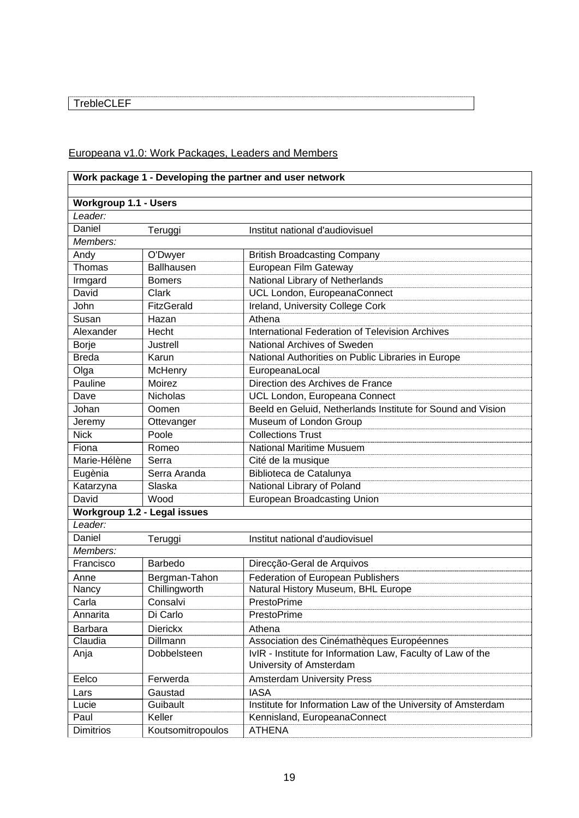### TrebleCLEF

### Europeana v1.0: Work Packages, Leaders and Members

|                              | Work package 1 - Developing the partner and user network |                                                                                        |  |
|------------------------------|----------------------------------------------------------|----------------------------------------------------------------------------------------|--|
|                              |                                                          |                                                                                        |  |
| <b>Workgroup 1.1 - Users</b> |                                                          |                                                                                        |  |
| Leader:                      |                                                          |                                                                                        |  |
| Daniel                       | Teruggi                                                  | Institut national d'audiovisuel                                                        |  |
| Members:                     |                                                          |                                                                                        |  |
| Andy                         | O'Dwyer                                                  | <b>British Broadcasting Company</b>                                                    |  |
| Thomas                       | <b>Ballhausen</b>                                        | European Film Gateway                                                                  |  |
| Irmgard                      | <b>Bomers</b>                                            | National Library of Netherlands                                                        |  |
| David                        | Clark                                                    | UCL London, EuropeanaConnect                                                           |  |
| John                         | <b>FitzGerald</b>                                        | Ireland, University College Cork                                                       |  |
| Susan                        | Hazan                                                    | Athena                                                                                 |  |
| Alexander                    | Hecht                                                    | International Federation of Television Archives                                        |  |
| <b>Borje</b>                 | Justrell                                                 | National Archives of Sweden                                                            |  |
| <b>Breda</b>                 | Karun                                                    | National Authorities on Public Libraries in Europe                                     |  |
| Olga                         | McHenry                                                  | EuropeanaLocal                                                                         |  |
| Pauline                      | Moirez                                                   | Direction des Archives de France                                                       |  |
| Dave                         | <b>Nicholas</b>                                          | UCL London, Europeana Connect                                                          |  |
| Johan                        | Oomen                                                    | Beeld en Geluid, Netherlands Institute for Sound and Vision                            |  |
| Jeremy                       | Ottevanger                                               | Museum of London Group                                                                 |  |
| <b>Nick</b>                  | Poole                                                    | <b>Collections Trust</b>                                                               |  |
| Fiona                        | Romeo                                                    | <b>National Maritime Musuem</b>                                                        |  |
| Marie-Hélène                 | Serra                                                    | Cité de la musique                                                                     |  |
| Eugènia                      | Serra Aranda                                             | Biblioteca de Catalunya                                                                |  |
| Katarzyna                    | Slaska                                                   | National Library of Poland                                                             |  |
| David                        | Wood                                                     | European Broadcasting Union                                                            |  |
|                              | <b>Workgroup 1.2 - Legal issues</b>                      |                                                                                        |  |
| Leader:                      |                                                          |                                                                                        |  |
| Daniel                       | Teruggi                                                  | Institut national d'audiovisuel                                                        |  |
| $M$ embers:                  |                                                          |                                                                                        |  |
| Francisco                    | Barbedo                                                  | Direcção-Geral de Arquivos                                                             |  |
| Anne                         | Bergman-Tahon                                            | Federation of European Publishers                                                      |  |
| Nancy                        | Chillingworth                                            | Natural History Museum, BHL Europe                                                     |  |
| Carla                        | Consalvi                                                 | PrestoPrime                                                                            |  |
| Annarita                     | Di Carlo                                                 | PrestoPrime                                                                            |  |
| Barbara                      | <b>Dierickx</b>                                          | Athena                                                                                 |  |
| Claudia                      | Dillmann                                                 | Association des Cinémathèques Européennes                                              |  |
| Anja                         | Dobbelsteen                                              | IvIR - Institute for Information Law, Faculty of Law of the<br>University of Amsterdam |  |
| Eelco                        | Ferwerda                                                 | <b>Amsterdam University Press</b>                                                      |  |
| Lars                         | Gaustad                                                  | <b>IASA</b>                                                                            |  |
| Lucie                        | Guibault                                                 | Institute for Information Law of the University of Amsterdam                           |  |
| Paul                         | Keller                                                   | Kennisland, EuropeanaConnect                                                           |  |
| <b>Dimitrios</b>             | Koutsomitropoulos                                        | <b>ATHENA</b>                                                                          |  |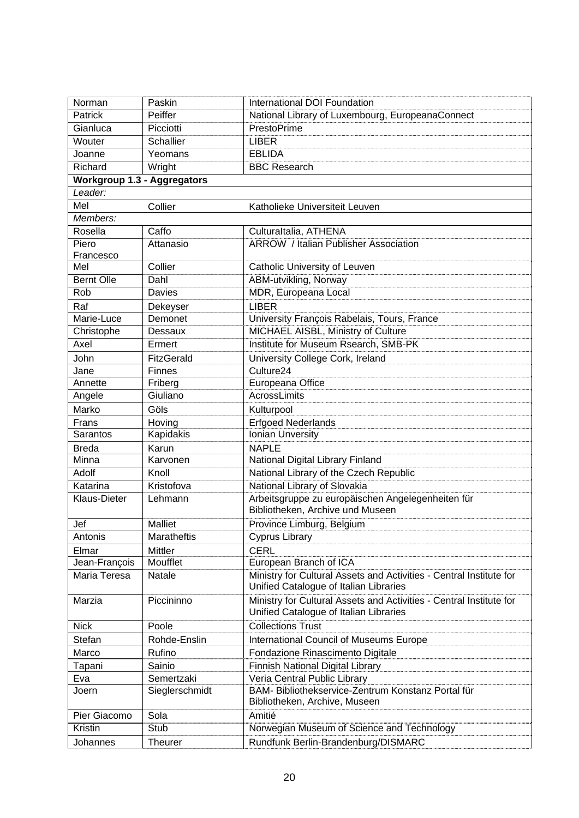| Norman                             | Paskin                       | International DOI Foundation                                                       |
|------------------------------------|------------------------------|------------------------------------------------------------------------------------|
| Patrick                            | Peiffer                      | National Library of Luxembourg, EuropeanaConnect                                   |
| Gianluca                           | Picciotti                    | PrestoPrime                                                                        |
| Wouter                             | <b>Schallier</b>             | <b>LIBER</b>                                                                       |
| Joanne                             | Yeomans                      | <b>EBLIDA</b>                                                                      |
| Richard                            | Wright                       | <b>BBC Research</b>                                                                |
| <b>Workgroup 1.3 - Aggregators</b> |                              |                                                                                    |
| Leader:                            |                              |                                                                                    |
| Mel                                | Collier                      | Katholieke Universiteit Leuven                                                     |
| Members:                           |                              |                                                                                    |
| Rosella                            | Caffo                        | Culturaltalia, ATHENA                                                              |
| Piero                              | Attanasio                    | <b>ARROW</b> / Italian Publisher Association                                       |
| Francesco                          |                              |                                                                                    |
| Mel                                | Collier                      | Catholic University of Leuven                                                      |
| <b>Bernt Olle</b>                  | Dahl                         | ABM-utvikling, Norway                                                              |
| Rob                                | Davies                       | MDR, Europeana Local                                                               |
| Raf                                | Dekeyser                     | <b>LIBER</b>                                                                       |
| Marie-Luce                         | Demonet                      | University François Rabelais, Tours, France                                        |
| Christophe                         | Dessaux                      | MICHAEL AISBL, Ministry of Culture                                                 |
| Axel                               | Ermert                       | Institute for Museum Rsearch, SMB-PK                                               |
| <b>John</b>                        | <b>FitzGerald</b>            | University College Cork, Ireland                                                   |
| Jane                               | <b>Finnes</b>                | Culture24                                                                          |
| Annette                            | Friberg                      | Europeana Office                                                                   |
| Angele                             | Giuliano                     | AcrossLimits                                                                       |
| Marko                              | Göls                         | Kulturpool                                                                         |
| Frans                              | Hoving                       | <b>Erfgoed Nederlands</b>                                                          |
| Sarantos                           | Kapidakis                    | Ionian Unversity                                                                   |
| <b>Breda</b>                       | Karun                        | <b>NAPLE</b>                                                                       |
| Minna                              | Karvonen                     | National Digital Library Finland                                                   |
| Adolf                              | Knoll                        | National Library of the Czech Republic                                             |
| Katarina                           | Kristofova                   | National Library of Slovakia                                                       |
| Klaus-Dieter                       | Lehmann                      | Arbeitsgruppe zu europäischen Angelegenheiten für                                  |
|                                    |                              | Bibliotheken, Archive und Museen                                                   |
| Jef                                | <b>Malliet</b>               | Province Limburg, Belgium                                                          |
| Antonis                            | Maratheftis                  | <b>Cyprus Library</b>                                                              |
| Elmar                              | Mittler                      | <b>CERL</b>                                                                        |
| Jean-François                      | Moufflet                     | European Branch of ICA                                                             |
| Maria Teresa                       | <b>Natale</b>                | Ministry for Cultural Assets and Activities - Central Institute for                |
|                                    |                              | Unified Catalogue of Italian Libraries                                             |
| Marzia                             | Piccininno                   | Ministry for Cultural Assets and Activities - Central Institute for                |
|                                    |                              | Unified Catalogue of Italian Libraries                                             |
| <b>Nick</b>                        | Poole                        | <b>Collections Trust</b>                                                           |
| Stefan                             | Rohde-Enslin                 |                                                                                    |
|                                    | Rufino                       | International Council of Museums Europe                                            |
| Marco                              | Sainio                       | Fondazione Rinascimento Digitale                                                   |
| Tapani                             |                              | Finnish National Digital Library                                                   |
| Eva<br>Joern                       | Semertzaki<br>Sieglerschmidt | Veria Central Public Library<br>BAM- Bibliothekservice-Zentrum Konstanz Portal für |
|                                    |                              | Bibliotheken, Archive, Museen                                                      |
| Pier Giacomo                       | Sola                         | Amitié                                                                             |
| Kristin                            | Stub                         | Norwegian Museum of Science and Technology                                         |
|                                    |                              |                                                                                    |
| Johannes                           | <b>Theurer</b>               | Rundfunk Berlin-Brandenburg/DISMARC                                                |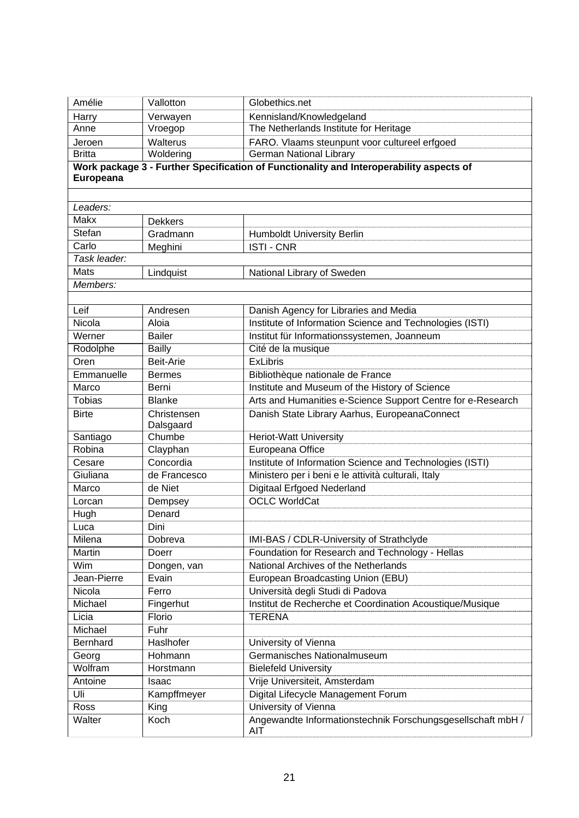| Kennisland/Knowledgeland<br>Harry<br>Verwayen<br>The Netherlands Institute for Heritage<br>Anne<br>Vroegop<br>FARO. Vlaams steunpunt voor cultureel erfgoed<br>Walterus<br>Jeroen<br><b>German National Library</b><br><b>Britta</b><br>Woldering<br>Work package 3 - Further Specification of Functionality and Interoperability aspects of<br>Europeana<br>Leaders:<br>Makx<br><b>Dekkers</b><br>Stefan<br>Gradmann<br><b>Humboldt University Berlin</b><br>Carlo<br><b>ISTI-CNR</b><br>Meghini<br>Task leader:<br>Mats<br>Lindquist<br>National Library of Sweden<br>Members:<br>Leif<br>Danish Agency for Libraries and Media<br>Andresen<br>Nicola<br>Institute of Information Science and Technologies (ISTI)<br>Aloia<br>Werner<br><b>Bailer</b><br>Institut für Informationssystemen, Joanneum<br>Rodolphe<br><b>Bailly</b><br>Cité de la musique<br><b>ExLibris</b><br>Oren<br>Beit-Arie<br>Emmanuelle<br>Bibliothèque nationale de France<br><b>Bermes</b><br>Institute and Museum of the History of Science<br>Marco<br>Berni<br>Arts and Humanities e-Science Support Centre for e-Research<br><b>Tobias</b><br><b>Blanke</b><br>Danish State Library Aarhus, EuropeanaConnect<br><b>Birte</b><br>Christensen<br>Dalsgaard<br>Chumbe<br><b>Heriot-Watt University</b><br>Santiago<br>Robina<br>Clayphan<br>Europeana Office<br>Concordia<br>Institute of Information Science and Technologies (ISTI)<br>Cesare<br>Giuliana<br>de Francesco<br>Ministero per i beni e le attività culturali, Italy<br><b>Digitaal Erfgoed Nederland</b><br>Marco<br>de Niet<br><b>OCLC WorldCat</b><br>Dempsey<br>Lorcan<br>Denard<br>Hugh<br>Dini<br>Luca<br>Milena<br>IMI-BAS / CDLR-University of Strathclyde<br>Dobreva<br>Martin<br>Foundation for Research and Technology - Hellas<br>Doerr<br>National Archives of the Netherlands<br>Wim<br>Dongen, van<br>Jean-Pierre<br>European Broadcasting Union (EBU)<br>Evain<br>Nicola<br>Università degli Studi di Padova<br>Ferro<br>Michael<br>Institut de Recherche et Coordination Acoustique/Musique<br>Fingerhut<br>Licia<br>Florio<br><b>TERENA</b><br>Michael<br>Fuhr<br>Bernhard<br>Haslhofer<br>University of Vienna<br>Germanisches Nationalmuseum<br>Hohmann<br>Georg<br>Wolfram<br>Horstmann<br><b>Bielefeld University</b><br>Vrije Universiteit, Amsterdam<br>Antoine<br>Isaac<br>Uli<br>Digital Lifecycle Management Forum<br>Kampffmeyer<br>University of Vienna<br>Ross<br>King<br>Angewandte Informationstechnik Forschungsgesellschaft mbH /<br>Walter<br>Koch<br>AIT | Amélie | Vallotton | Globethics.net |
|---------------------------------------------------------------------------------------------------------------------------------------------------------------------------------------------------------------------------------------------------------------------------------------------------------------------------------------------------------------------------------------------------------------------------------------------------------------------------------------------------------------------------------------------------------------------------------------------------------------------------------------------------------------------------------------------------------------------------------------------------------------------------------------------------------------------------------------------------------------------------------------------------------------------------------------------------------------------------------------------------------------------------------------------------------------------------------------------------------------------------------------------------------------------------------------------------------------------------------------------------------------------------------------------------------------------------------------------------------------------------------------------------------------------------------------------------------------------------------------------------------------------------------------------------------------------------------------------------------------------------------------------------------------------------------------------------------------------------------------------------------------------------------------------------------------------------------------------------------------------------------------------------------------------------------------------------------------------------------------------------------------------------------------------------------------------------------------------------------------------------------------------------------------------------------------------------------------------------------------------------------------------------------------------------------------------------------------------------------------------------------------------------------------------------------------------------------------------------------------------------------------------------------------|--------|-----------|----------------|
|                                                                                                                                                                                                                                                                                                                                                                                                                                                                                                                                                                                                                                                                                                                                                                                                                                                                                                                                                                                                                                                                                                                                                                                                                                                                                                                                                                                                                                                                                                                                                                                                                                                                                                                                                                                                                                                                                                                                                                                                                                                                                                                                                                                                                                                                                                                                                                                                                                                                                                                                       |        |           |                |
|                                                                                                                                                                                                                                                                                                                                                                                                                                                                                                                                                                                                                                                                                                                                                                                                                                                                                                                                                                                                                                                                                                                                                                                                                                                                                                                                                                                                                                                                                                                                                                                                                                                                                                                                                                                                                                                                                                                                                                                                                                                                                                                                                                                                                                                                                                                                                                                                                                                                                                                                       |        |           |                |
|                                                                                                                                                                                                                                                                                                                                                                                                                                                                                                                                                                                                                                                                                                                                                                                                                                                                                                                                                                                                                                                                                                                                                                                                                                                                                                                                                                                                                                                                                                                                                                                                                                                                                                                                                                                                                                                                                                                                                                                                                                                                                                                                                                                                                                                                                                                                                                                                                                                                                                                                       |        |           |                |
|                                                                                                                                                                                                                                                                                                                                                                                                                                                                                                                                                                                                                                                                                                                                                                                                                                                                                                                                                                                                                                                                                                                                                                                                                                                                                                                                                                                                                                                                                                                                                                                                                                                                                                                                                                                                                                                                                                                                                                                                                                                                                                                                                                                                                                                                                                                                                                                                                                                                                                                                       |        |           |                |
|                                                                                                                                                                                                                                                                                                                                                                                                                                                                                                                                                                                                                                                                                                                                                                                                                                                                                                                                                                                                                                                                                                                                                                                                                                                                                                                                                                                                                                                                                                                                                                                                                                                                                                                                                                                                                                                                                                                                                                                                                                                                                                                                                                                                                                                                                                                                                                                                                                                                                                                                       |        |           |                |
|                                                                                                                                                                                                                                                                                                                                                                                                                                                                                                                                                                                                                                                                                                                                                                                                                                                                                                                                                                                                                                                                                                                                                                                                                                                                                                                                                                                                                                                                                                                                                                                                                                                                                                                                                                                                                                                                                                                                                                                                                                                                                                                                                                                                                                                                                                                                                                                                                                                                                                                                       |        |           |                |
|                                                                                                                                                                                                                                                                                                                                                                                                                                                                                                                                                                                                                                                                                                                                                                                                                                                                                                                                                                                                                                                                                                                                                                                                                                                                                                                                                                                                                                                                                                                                                                                                                                                                                                                                                                                                                                                                                                                                                                                                                                                                                                                                                                                                                                                                                                                                                                                                                                                                                                                                       |        |           |                |
|                                                                                                                                                                                                                                                                                                                                                                                                                                                                                                                                                                                                                                                                                                                                                                                                                                                                                                                                                                                                                                                                                                                                                                                                                                                                                                                                                                                                                                                                                                                                                                                                                                                                                                                                                                                                                                                                                                                                                                                                                                                                                                                                                                                                                                                                                                                                                                                                                                                                                                                                       |        |           |                |
|                                                                                                                                                                                                                                                                                                                                                                                                                                                                                                                                                                                                                                                                                                                                                                                                                                                                                                                                                                                                                                                                                                                                                                                                                                                                                                                                                                                                                                                                                                                                                                                                                                                                                                                                                                                                                                                                                                                                                                                                                                                                                                                                                                                                                                                                                                                                                                                                                                                                                                                                       |        |           |                |
|                                                                                                                                                                                                                                                                                                                                                                                                                                                                                                                                                                                                                                                                                                                                                                                                                                                                                                                                                                                                                                                                                                                                                                                                                                                                                                                                                                                                                                                                                                                                                                                                                                                                                                                                                                                                                                                                                                                                                                                                                                                                                                                                                                                                                                                                                                                                                                                                                                                                                                                                       |        |           |                |
|                                                                                                                                                                                                                                                                                                                                                                                                                                                                                                                                                                                                                                                                                                                                                                                                                                                                                                                                                                                                                                                                                                                                                                                                                                                                                                                                                                                                                                                                                                                                                                                                                                                                                                                                                                                                                                                                                                                                                                                                                                                                                                                                                                                                                                                                                                                                                                                                                                                                                                                                       |        |           |                |
|                                                                                                                                                                                                                                                                                                                                                                                                                                                                                                                                                                                                                                                                                                                                                                                                                                                                                                                                                                                                                                                                                                                                                                                                                                                                                                                                                                                                                                                                                                                                                                                                                                                                                                                                                                                                                                                                                                                                                                                                                                                                                                                                                                                                                                                                                                                                                                                                                                                                                                                                       |        |           |                |
|                                                                                                                                                                                                                                                                                                                                                                                                                                                                                                                                                                                                                                                                                                                                                                                                                                                                                                                                                                                                                                                                                                                                                                                                                                                                                                                                                                                                                                                                                                                                                                                                                                                                                                                                                                                                                                                                                                                                                                                                                                                                                                                                                                                                                                                                                                                                                                                                                                                                                                                                       |        |           |                |
|                                                                                                                                                                                                                                                                                                                                                                                                                                                                                                                                                                                                                                                                                                                                                                                                                                                                                                                                                                                                                                                                                                                                                                                                                                                                                                                                                                                                                                                                                                                                                                                                                                                                                                                                                                                                                                                                                                                                                                                                                                                                                                                                                                                                                                                                                                                                                                                                                                                                                                                                       |        |           |                |
|                                                                                                                                                                                                                                                                                                                                                                                                                                                                                                                                                                                                                                                                                                                                                                                                                                                                                                                                                                                                                                                                                                                                                                                                                                                                                                                                                                                                                                                                                                                                                                                                                                                                                                                                                                                                                                                                                                                                                                                                                                                                                                                                                                                                                                                                                                                                                                                                                                                                                                                                       |        |           |                |
|                                                                                                                                                                                                                                                                                                                                                                                                                                                                                                                                                                                                                                                                                                                                                                                                                                                                                                                                                                                                                                                                                                                                                                                                                                                                                                                                                                                                                                                                                                                                                                                                                                                                                                                                                                                                                                                                                                                                                                                                                                                                                                                                                                                                                                                                                                                                                                                                                                                                                                                                       |        |           |                |
|                                                                                                                                                                                                                                                                                                                                                                                                                                                                                                                                                                                                                                                                                                                                                                                                                                                                                                                                                                                                                                                                                                                                                                                                                                                                                                                                                                                                                                                                                                                                                                                                                                                                                                                                                                                                                                                                                                                                                                                                                                                                                                                                                                                                                                                                                                                                                                                                                                                                                                                                       |        |           |                |
|                                                                                                                                                                                                                                                                                                                                                                                                                                                                                                                                                                                                                                                                                                                                                                                                                                                                                                                                                                                                                                                                                                                                                                                                                                                                                                                                                                                                                                                                                                                                                                                                                                                                                                                                                                                                                                                                                                                                                                                                                                                                                                                                                                                                                                                                                                                                                                                                                                                                                                                                       |        |           |                |
|                                                                                                                                                                                                                                                                                                                                                                                                                                                                                                                                                                                                                                                                                                                                                                                                                                                                                                                                                                                                                                                                                                                                                                                                                                                                                                                                                                                                                                                                                                                                                                                                                                                                                                                                                                                                                                                                                                                                                                                                                                                                                                                                                                                                                                                                                                                                                                                                                                                                                                                                       |        |           |                |
|                                                                                                                                                                                                                                                                                                                                                                                                                                                                                                                                                                                                                                                                                                                                                                                                                                                                                                                                                                                                                                                                                                                                                                                                                                                                                                                                                                                                                                                                                                                                                                                                                                                                                                                                                                                                                                                                                                                                                                                                                                                                                                                                                                                                                                                                                                                                                                                                                                                                                                                                       |        |           |                |
|                                                                                                                                                                                                                                                                                                                                                                                                                                                                                                                                                                                                                                                                                                                                                                                                                                                                                                                                                                                                                                                                                                                                                                                                                                                                                                                                                                                                                                                                                                                                                                                                                                                                                                                                                                                                                                                                                                                                                                                                                                                                                                                                                                                                                                                                                                                                                                                                                                                                                                                                       |        |           |                |
|                                                                                                                                                                                                                                                                                                                                                                                                                                                                                                                                                                                                                                                                                                                                                                                                                                                                                                                                                                                                                                                                                                                                                                                                                                                                                                                                                                                                                                                                                                                                                                                                                                                                                                                                                                                                                                                                                                                                                                                                                                                                                                                                                                                                                                                                                                                                                                                                                                                                                                                                       |        |           |                |
|                                                                                                                                                                                                                                                                                                                                                                                                                                                                                                                                                                                                                                                                                                                                                                                                                                                                                                                                                                                                                                                                                                                                                                                                                                                                                                                                                                                                                                                                                                                                                                                                                                                                                                                                                                                                                                                                                                                                                                                                                                                                                                                                                                                                                                                                                                                                                                                                                                                                                                                                       |        |           |                |
|                                                                                                                                                                                                                                                                                                                                                                                                                                                                                                                                                                                                                                                                                                                                                                                                                                                                                                                                                                                                                                                                                                                                                                                                                                                                                                                                                                                                                                                                                                                                                                                                                                                                                                                                                                                                                                                                                                                                                                                                                                                                                                                                                                                                                                                                                                                                                                                                                                                                                                                                       |        |           |                |
|                                                                                                                                                                                                                                                                                                                                                                                                                                                                                                                                                                                                                                                                                                                                                                                                                                                                                                                                                                                                                                                                                                                                                                                                                                                                                                                                                                                                                                                                                                                                                                                                                                                                                                                                                                                                                                                                                                                                                                                                                                                                                                                                                                                                                                                                                                                                                                                                                                                                                                                                       |        |           |                |
|                                                                                                                                                                                                                                                                                                                                                                                                                                                                                                                                                                                                                                                                                                                                                                                                                                                                                                                                                                                                                                                                                                                                                                                                                                                                                                                                                                                                                                                                                                                                                                                                                                                                                                                                                                                                                                                                                                                                                                                                                                                                                                                                                                                                                                                                                                                                                                                                                                                                                                                                       |        |           |                |
|                                                                                                                                                                                                                                                                                                                                                                                                                                                                                                                                                                                                                                                                                                                                                                                                                                                                                                                                                                                                                                                                                                                                                                                                                                                                                                                                                                                                                                                                                                                                                                                                                                                                                                                                                                                                                                                                                                                                                                                                                                                                                                                                                                                                                                                                                                                                                                                                                                                                                                                                       |        |           |                |
|                                                                                                                                                                                                                                                                                                                                                                                                                                                                                                                                                                                                                                                                                                                                                                                                                                                                                                                                                                                                                                                                                                                                                                                                                                                                                                                                                                                                                                                                                                                                                                                                                                                                                                                                                                                                                                                                                                                                                                                                                                                                                                                                                                                                                                                                                                                                                                                                                                                                                                                                       |        |           |                |
|                                                                                                                                                                                                                                                                                                                                                                                                                                                                                                                                                                                                                                                                                                                                                                                                                                                                                                                                                                                                                                                                                                                                                                                                                                                                                                                                                                                                                                                                                                                                                                                                                                                                                                                                                                                                                                                                                                                                                                                                                                                                                                                                                                                                                                                                                                                                                                                                                                                                                                                                       |        |           |                |
|                                                                                                                                                                                                                                                                                                                                                                                                                                                                                                                                                                                                                                                                                                                                                                                                                                                                                                                                                                                                                                                                                                                                                                                                                                                                                                                                                                                                                                                                                                                                                                                                                                                                                                                                                                                                                                                                                                                                                                                                                                                                                                                                                                                                                                                                                                                                                                                                                                                                                                                                       |        |           |                |
|                                                                                                                                                                                                                                                                                                                                                                                                                                                                                                                                                                                                                                                                                                                                                                                                                                                                                                                                                                                                                                                                                                                                                                                                                                                                                                                                                                                                                                                                                                                                                                                                                                                                                                                                                                                                                                                                                                                                                                                                                                                                                                                                                                                                                                                                                                                                                                                                                                                                                                                                       |        |           |                |
|                                                                                                                                                                                                                                                                                                                                                                                                                                                                                                                                                                                                                                                                                                                                                                                                                                                                                                                                                                                                                                                                                                                                                                                                                                                                                                                                                                                                                                                                                                                                                                                                                                                                                                                                                                                                                                                                                                                                                                                                                                                                                                                                                                                                                                                                                                                                                                                                                                                                                                                                       |        |           |                |
|                                                                                                                                                                                                                                                                                                                                                                                                                                                                                                                                                                                                                                                                                                                                                                                                                                                                                                                                                                                                                                                                                                                                                                                                                                                                                                                                                                                                                                                                                                                                                                                                                                                                                                                                                                                                                                                                                                                                                                                                                                                                                                                                                                                                                                                                                                                                                                                                                                                                                                                                       |        |           |                |
|                                                                                                                                                                                                                                                                                                                                                                                                                                                                                                                                                                                                                                                                                                                                                                                                                                                                                                                                                                                                                                                                                                                                                                                                                                                                                                                                                                                                                                                                                                                                                                                                                                                                                                                                                                                                                                                                                                                                                                                                                                                                                                                                                                                                                                                                                                                                                                                                                                                                                                                                       |        |           |                |
|                                                                                                                                                                                                                                                                                                                                                                                                                                                                                                                                                                                                                                                                                                                                                                                                                                                                                                                                                                                                                                                                                                                                                                                                                                                                                                                                                                                                                                                                                                                                                                                                                                                                                                                                                                                                                                                                                                                                                                                                                                                                                                                                                                                                                                                                                                                                                                                                                                                                                                                                       |        |           |                |
|                                                                                                                                                                                                                                                                                                                                                                                                                                                                                                                                                                                                                                                                                                                                                                                                                                                                                                                                                                                                                                                                                                                                                                                                                                                                                                                                                                                                                                                                                                                                                                                                                                                                                                                                                                                                                                                                                                                                                                                                                                                                                                                                                                                                                                                                                                                                                                                                                                                                                                                                       |        |           |                |
|                                                                                                                                                                                                                                                                                                                                                                                                                                                                                                                                                                                                                                                                                                                                                                                                                                                                                                                                                                                                                                                                                                                                                                                                                                                                                                                                                                                                                                                                                                                                                                                                                                                                                                                                                                                                                                                                                                                                                                                                                                                                                                                                                                                                                                                                                                                                                                                                                                                                                                                                       |        |           |                |
|                                                                                                                                                                                                                                                                                                                                                                                                                                                                                                                                                                                                                                                                                                                                                                                                                                                                                                                                                                                                                                                                                                                                                                                                                                                                                                                                                                                                                                                                                                                                                                                                                                                                                                                                                                                                                                                                                                                                                                                                                                                                                                                                                                                                                                                                                                                                                                                                                                                                                                                                       |        |           |                |
|                                                                                                                                                                                                                                                                                                                                                                                                                                                                                                                                                                                                                                                                                                                                                                                                                                                                                                                                                                                                                                                                                                                                                                                                                                                                                                                                                                                                                                                                                                                                                                                                                                                                                                                                                                                                                                                                                                                                                                                                                                                                                                                                                                                                                                                                                                                                                                                                                                                                                                                                       |        |           |                |
|                                                                                                                                                                                                                                                                                                                                                                                                                                                                                                                                                                                                                                                                                                                                                                                                                                                                                                                                                                                                                                                                                                                                                                                                                                                                                                                                                                                                                                                                                                                                                                                                                                                                                                                                                                                                                                                                                                                                                                                                                                                                                                                                                                                                                                                                                                                                                                                                                                                                                                                                       |        |           |                |
|                                                                                                                                                                                                                                                                                                                                                                                                                                                                                                                                                                                                                                                                                                                                                                                                                                                                                                                                                                                                                                                                                                                                                                                                                                                                                                                                                                                                                                                                                                                                                                                                                                                                                                                                                                                                                                                                                                                                                                                                                                                                                                                                                                                                                                                                                                                                                                                                                                                                                                                                       |        |           |                |
|                                                                                                                                                                                                                                                                                                                                                                                                                                                                                                                                                                                                                                                                                                                                                                                                                                                                                                                                                                                                                                                                                                                                                                                                                                                                                                                                                                                                                                                                                                                                                                                                                                                                                                                                                                                                                                                                                                                                                                                                                                                                                                                                                                                                                                                                                                                                                                                                                                                                                                                                       |        |           |                |
|                                                                                                                                                                                                                                                                                                                                                                                                                                                                                                                                                                                                                                                                                                                                                                                                                                                                                                                                                                                                                                                                                                                                                                                                                                                                                                                                                                                                                                                                                                                                                                                                                                                                                                                                                                                                                                                                                                                                                                                                                                                                                                                                                                                                                                                                                                                                                                                                                                                                                                                                       |        |           |                |
|                                                                                                                                                                                                                                                                                                                                                                                                                                                                                                                                                                                                                                                                                                                                                                                                                                                                                                                                                                                                                                                                                                                                                                                                                                                                                                                                                                                                                                                                                                                                                                                                                                                                                                                                                                                                                                                                                                                                                                                                                                                                                                                                                                                                                                                                                                                                                                                                                                                                                                                                       |        |           |                |
|                                                                                                                                                                                                                                                                                                                                                                                                                                                                                                                                                                                                                                                                                                                                                                                                                                                                                                                                                                                                                                                                                                                                                                                                                                                                                                                                                                                                                                                                                                                                                                                                                                                                                                                                                                                                                                                                                                                                                                                                                                                                                                                                                                                                                                                                                                                                                                                                                                                                                                                                       |        |           |                |
|                                                                                                                                                                                                                                                                                                                                                                                                                                                                                                                                                                                                                                                                                                                                                                                                                                                                                                                                                                                                                                                                                                                                                                                                                                                                                                                                                                                                                                                                                                                                                                                                                                                                                                                                                                                                                                                                                                                                                                                                                                                                                                                                                                                                                                                                                                                                                                                                                                                                                                                                       |        |           |                |
|                                                                                                                                                                                                                                                                                                                                                                                                                                                                                                                                                                                                                                                                                                                                                                                                                                                                                                                                                                                                                                                                                                                                                                                                                                                                                                                                                                                                                                                                                                                                                                                                                                                                                                                                                                                                                                                                                                                                                                                                                                                                                                                                                                                                                                                                                                                                                                                                                                                                                                                                       |        |           |                |
|                                                                                                                                                                                                                                                                                                                                                                                                                                                                                                                                                                                                                                                                                                                                                                                                                                                                                                                                                                                                                                                                                                                                                                                                                                                                                                                                                                                                                                                                                                                                                                                                                                                                                                                                                                                                                                                                                                                                                                                                                                                                                                                                                                                                                                                                                                                                                                                                                                                                                                                                       |        |           |                |
|                                                                                                                                                                                                                                                                                                                                                                                                                                                                                                                                                                                                                                                                                                                                                                                                                                                                                                                                                                                                                                                                                                                                                                                                                                                                                                                                                                                                                                                                                                                                                                                                                                                                                                                                                                                                                                                                                                                                                                                                                                                                                                                                                                                                                                                                                                                                                                                                                                                                                                                                       |        |           |                |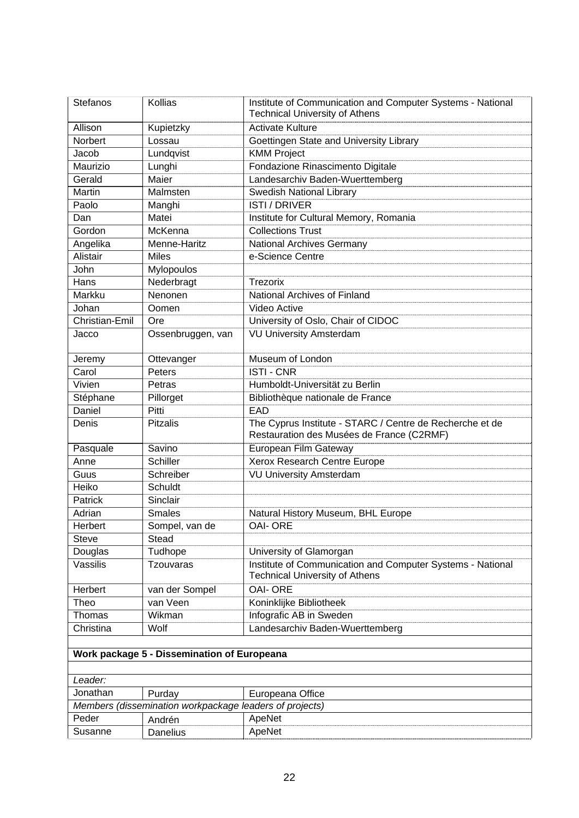| Stefanos                                    | Kollias                                                           | Institute of Communication and Computer Systems - National<br><b>Technical University of Athens</b>   |
|---------------------------------------------|-------------------------------------------------------------------|-------------------------------------------------------------------------------------------------------|
| Allison                                     | Kupietzky                                                         | <b>Activate Kulture</b>                                                                               |
| Norbert                                     | Lossau                                                            | Goettingen State and University Library                                                               |
| Jacob                                       | Lundqvist                                                         | <b>KMM Project</b>                                                                                    |
| Maurizio                                    | Lunghi                                                            | Fondazione Rinascimento Digitale                                                                      |
| Gerald                                      | Maier                                                             | Landesarchiv Baden-Wuerttemberg                                                                       |
| Martin                                      | Malmsten                                                          | <b>Swedish National Library</b>                                                                       |
| Paolo                                       | Manghi                                                            | <b>ISTI / DRIVER</b>                                                                                  |
| Dan                                         | Matei                                                             | Institute for Cultural Memory, Romania                                                                |
| Gordon                                      | McKenna                                                           | <b>Collections Trust</b>                                                                              |
| Angelika                                    | Menne-Haritz                                                      | <b>National Archives Germany</b>                                                                      |
| Alistair                                    | <b>Miles</b>                                                      | e-Science Centre                                                                                      |
| John                                        | Mylopoulos                                                        |                                                                                                       |
| Hans                                        | Nederbragt                                                        | <b>Trezorix</b>                                                                                       |
| Markku                                      | Nenonen                                                           | National Archives of Finland                                                                          |
| Johan                                       | Oomen                                                             | Video Active                                                                                          |
| Christian-Emil                              | Ore                                                               | University of Oslo, Chair of CIDOC                                                                    |
| Jacco                                       | Ossenbruggen, van                                                 | <b>VU University Amsterdam</b>                                                                        |
|                                             |                                                                   |                                                                                                       |
| Jeremy                                      | Ottevanger                                                        | Museum of London                                                                                      |
| Carol                                       | Peters                                                            | <b>ISTI-CNR</b>                                                                                       |
| Vivien                                      | Petras                                                            | Humboldt-Universität zu Berlin                                                                        |
| Stéphane                                    | Pillorget                                                         | Bibliothèque nationale de France                                                                      |
| Daniel                                      | Pitti                                                             | EAD                                                                                                   |
| Denis                                       | <b>Pitzalis</b>                                                   | The Cyprus Institute - STARC / Centre de Recherche et de<br>Restauration des Musées de France (C2RMF) |
| Pasquale                                    | Savino                                                            | <b>European Film Gateway</b>                                                                          |
| Anne                                        | <b>Schiller</b>                                                   | Xerox Research Centre Europe                                                                          |
| Guus                                        | Schreiber                                                         | <b>VU University Amsterdam</b>                                                                        |
| Heiko                                       | Schuldt                                                           |                                                                                                       |
| Patrick                                     | Sinclair                                                          |                                                                                                       |
| Adrian                                      | <b>Smales</b>                                                     | Natural History Museum, BHL Europe                                                                    |
| Herbert                                     | Sompel, van de                                                    | <b>OAI- ORE</b>                                                                                       |
| <b>Steve</b>                                | <b>Stead</b>                                                      |                                                                                                       |
| Douglas                                     | Tudhope                                                           | University of Glamorgan                                                                               |
| Vassilis                                    | <b>Tzouvaras</b>                                                  | Institute of Communication and Computer Systems - National                                            |
|                                             |                                                                   | <b>Technical University of Athens</b>                                                                 |
| Herbert                                     | van der Sompel                                                    | <b>OAI- ORE</b>                                                                                       |
| Theo                                        | van Veen                                                          | Koninklijke Bibliotheek                                                                               |
| Thomas                                      | Wikman                                                            | Infografic AB in Sweden                                                                               |
| Christina                                   | Wolf                                                              | Landesarchiv Baden-Wuerttemberg                                                                       |
|                                             |                                                                   |                                                                                                       |
| Work package 5 - Dissemination of Europeana |                                                                   |                                                                                                       |
| Leader:                                     |                                                                   |                                                                                                       |
| Jonathan                                    |                                                                   |                                                                                                       |
|                                             | Purday<br>Members (dissemination workpackage leaders of projects) | Europeana Office                                                                                      |
| Peder                                       |                                                                   |                                                                                                       |
| Susanne                                     | Andrén                                                            | ApeNet<br>ApeNet                                                                                      |
|                                             | <b>Danelius</b>                                                   |                                                                                                       |